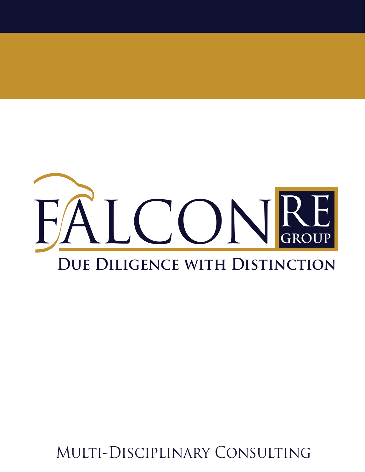

Multi-Disciplinary Consulting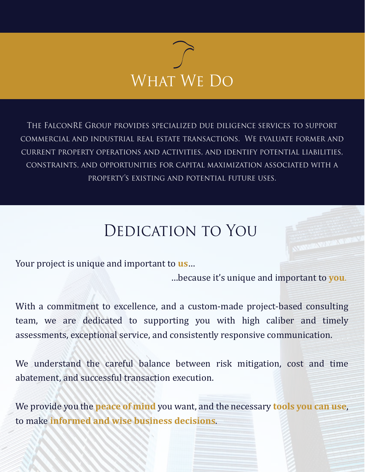

The FalconRE Group provides specialized due diligence services to support commercial and industrial real estate transactions. We evaluate former and current property operations and activities, and identify potential liabilities, constraints, and opportunities for capital maximization associated with a property's existing and potential future uses.

## Dedication to You

Your project is unique and important to **us**…

…because it's unique and important to **you**.

With a commitment to excellence, and a custom-made project-based consulting team, we are dedicated to supporting you with high caliber and timely assessments, exceptional service, and consistently responsive communication.

We understand the careful balance between risk mitigation, cost and time abatement, and successful transaction execution.

We provide you the **peace of mind** you want, and the necessary **tools you can use**, to make **informed and wise business decisions**.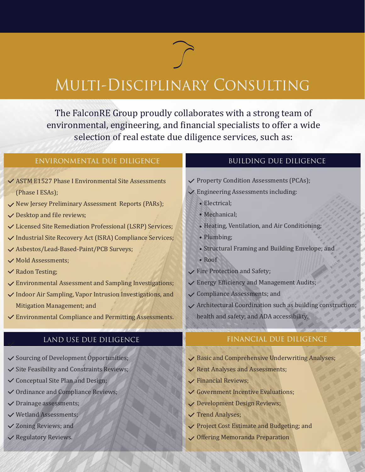## Multi-Disciplinary Consulting

The FalconRE Group proudly collaborates with a strong team of environmental, engineering, and financial specialists to offer a wide selection of real estate due diligence services, such as:

| ENVIRONMENTAL DUE DILIGENCE                                | <b>BUILDING DUE DILIGENCE</b>                               |
|------------------------------------------------------------|-------------------------------------------------------------|
| ✓ ASTM E1527 Phase I Environmental Site Assessments        | ✓ Property Condition Assessments (PCAs);                    |
| (Phase I ESAs);                                            | $\checkmark$ Engineering Assessments including:             |
| ✓ New Jersey Preliminary Assessment Reports (PARs);        | • Electrical;                                               |
| $\vee$ Desktop and file reviews;                           | · Mechanical;                                               |
| ✓ Licensed Site Remediation Professional (LSRP) Services;  | • Heating, Ventilation, and Air Conditioning;               |
| ✓ Industrial Site Recovery Act (ISRA) Compliance Services; | • Plumbing;                                                 |
| ✓ Asbestos/Lead-Based-Paint/PCB Surveys;                   | • Structural Framing and Building Envelope; and             |
| √ Mold Assessments;                                        | • Roof                                                      |
| <b>∕</b> Radon Testing;                                    | $\checkmark$ Fire Protection and Safety;                    |
| ✓ Environmental Assessment and Sampling Investigations;    | $\checkmark$ Energy Efficiency and Management Audits;       |
| ✓ Indoor Air Sampling, Vapor Intrusion Investigations, and | $\checkmark$ Compliance Assessments; and                    |
| Mitigation Management; and                                 | √ Architectural Coordination such as building construction; |
| ✓ Environmental Compliance and Permitting Assessments.     | health and safety; and ADA accessibility.                   |
| LAND USE DUE DILIGENCE                                     | FINANCIAL DUE DILIGENCE                                     |
| ✓ Sourcing of Development Opportunities;                   | ✓ Basic and Comprehensive Underwriting Analyses;            |
| Site Feasibility and Constraints Reviews;                  | ✓ Rent Analyses and Assessments;                            |
| ✓ Conceptual Site Plan and Design;                         | $\checkmark$ Financial Reviews;                             |
| ✓ Ordinance and Compliance Reviews;                        | Government Incentive Evaluations;                           |
| $\checkmark$ Drainage assessments;                         | ✓ Development Design Reviews;                               |
| ✓ Wetland Assessments;                                     | $\checkmark$ Trend Analyses;                                |
| ✓ Zoning Reviews; and                                      | ✔ Project Cost Estimate and Budgeting; and                  |
| ✓ Regulatory Reviews.                                      | ✓ Offering Memoranda Preparation                            |